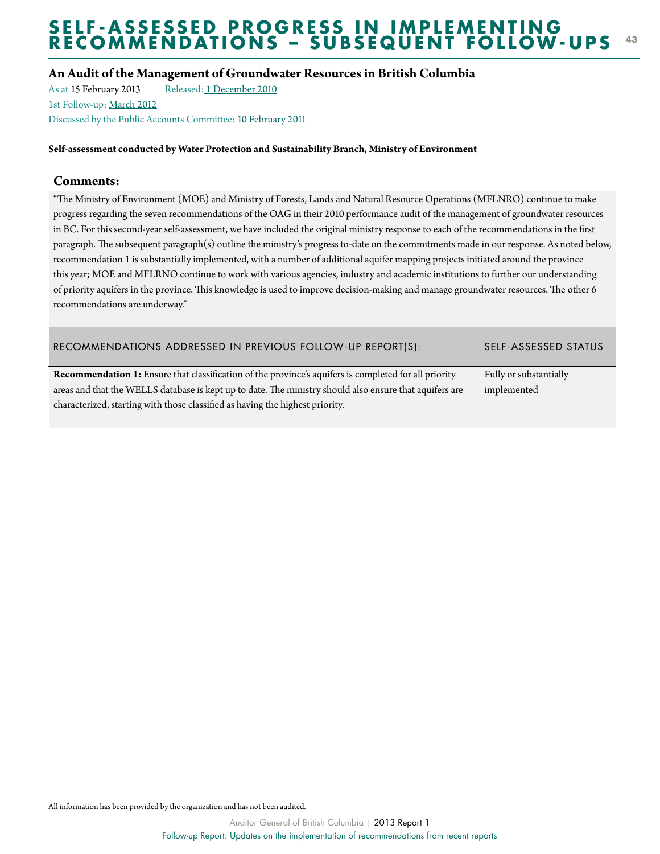# **An Audit of the Management of Groundwater Resources in British Columbia**

As at 15 February 2013 Released[: 1 December 2010](http://www.bcauditor.com/pubs/2010/report8/audit-management-groundwater-resources-british-columbia) 1st Follow-up: [March 2012](http://www.bcauditor.com/pubs/2012/report12/follow-report-updates-implementation-recommendations-rec) Discussed by the Public Accounts Committee[: 10 February 2011](http://www.leg.bc.ca/cmt/39thparl/session-2/pac/hansard/P10210a.htm)

**Self-assessment conducted by Water Protection and Sustainability Branch, Ministry of Environment**

# **Comments:**

"The Ministry of Environment (MOE) and Ministry of Forests, Lands and Natural Resource Operations (MFLNRO) continue to make progress regarding the seven recommendations of the OAG in their 2010 performance audit of the management of groundwater resources in BC. For this second-year self-assessment, we have included the original ministry response to each of the recommendations in the first paragraph. The subsequent paragraph(s) outline the ministry's progress to-date on the commitments made in our response. As noted below, recommendation 1 is substantially implemented, with a number of additional aquifer mapping projects initiated around the province this year; MOE and MFLRNO continue to work with various agencies, industry and academic institutions to further our understanding of priority aquifers in the province. This knowledge is used to improve decision-making and manage groundwater resources. The other 6 recommendations are underway."

# Recommendations Addressed in Previous Follow-Up Report(s): Self-Assessed Status

**Recommendation 1:** Ensure that classification of the province's aquifers is completed for all priority areas and that the WELLS database is kept up to date. The ministry should also ensure that aquifers are characterized, starting with those classified as having the highest priority.

Fully or substantially implemented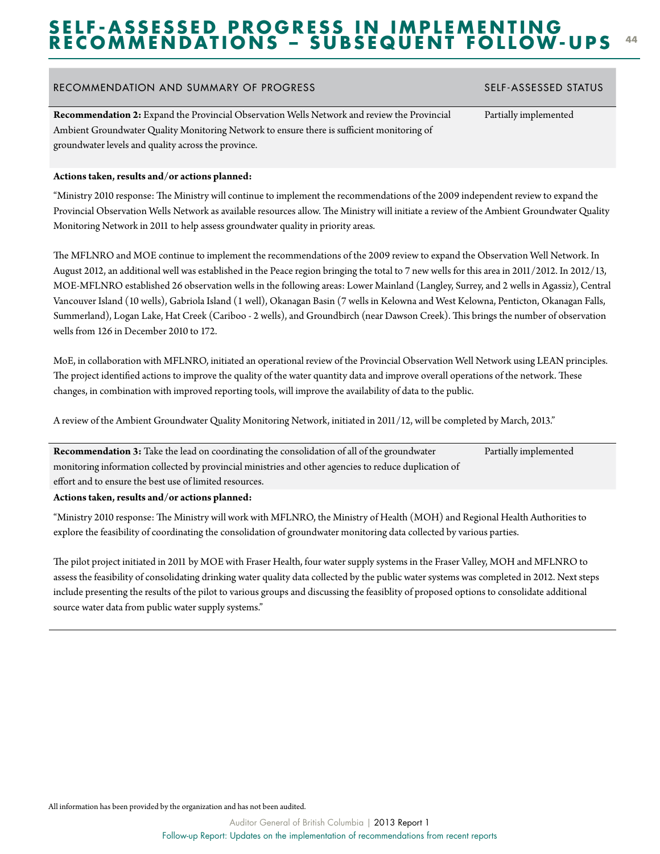### RECOMMENDATION AND SUMMARY OF PROGRESS SELF-ASSESSED STATUS

**Recommendation 2:** Expand the Provincial Observation Wells Network and review the Provincial Ambient Groundwater Quality Monitoring Network to ensure there is sufficient monitoring of groundwater levels and quality across the province.

### **Actions taken, results and/or actions planned:**

"Ministry 2010 response: The Ministry will continue to implement the recommendations of the 2009 independent review to expand the Provincial Observation Wells Network as available resources allow. The Ministry will initiate a review of the Ambient Groundwater Quality Monitoring Network in 2011 to help assess groundwater quality in priority areas.

The MFLNRO and MOE continue to implement the recommendations of the 2009 review to expand the Observation Well Network. In August 2012, an additional well was established in the Peace region bringing the total to 7 new wells for this area in 2011/2012. In 2012/13, MOE-MFLNRO established 26 observation wells in the following areas: Lower Mainland (Langley, Surrey, and 2 wells in Agassiz), Central Vancouver Island (10 wells), Gabriola Island (1 well), Okanagan Basin (7 wells in Kelowna and West Kelowna, Penticton, Okanagan Falls, Summerland), Logan Lake, Hat Creek (Cariboo - 2 wells), and Groundbirch (near Dawson Creek). This brings the number of observation wells from 126 in December 2010 to 172.

MoE, in collaboration with MFLNRO, initiated an operational review of the Provincial Observation Well Network using LEAN principles. The project identified actions to improve the quality of the water quantity data and improve overall operations of the network. These changes, in combination with improved reporting tools, will improve the availability of data to the public.

A review of the Ambient Groundwater Quality Monitoring Network, initiated in 2011/12, will be completed by March, 2013."

**Recommendation 3:** Take the lead on coordinating the consolidation of all of the groundwater monitoring information collected by provincial ministries and other agencies to reduce duplication of effort and to ensure the best use of limited resources. Partially implemented

**Actions taken, results and/or actions planned:**

"Ministry 2010 response: The Ministry will work with MFLNRO, the Ministry of Health (MOH) and Regional Health Authorities to explore the feasibility of coordinating the consolidation of groundwater monitoring data collected by various parties.

The pilot project initiated in 2011 by MOE with Fraser Health, four water supply systems in the Fraser Valley, MOH and MFLNRO to assess the feasibility of consolidating drinking water quality data collected by the public water systems was completed in 2012. Next steps include presenting the results of the pilot to various groups and discussing the feasiblity of proposed options to consolidate additional source water data from public water supply systems."

# Partially implemented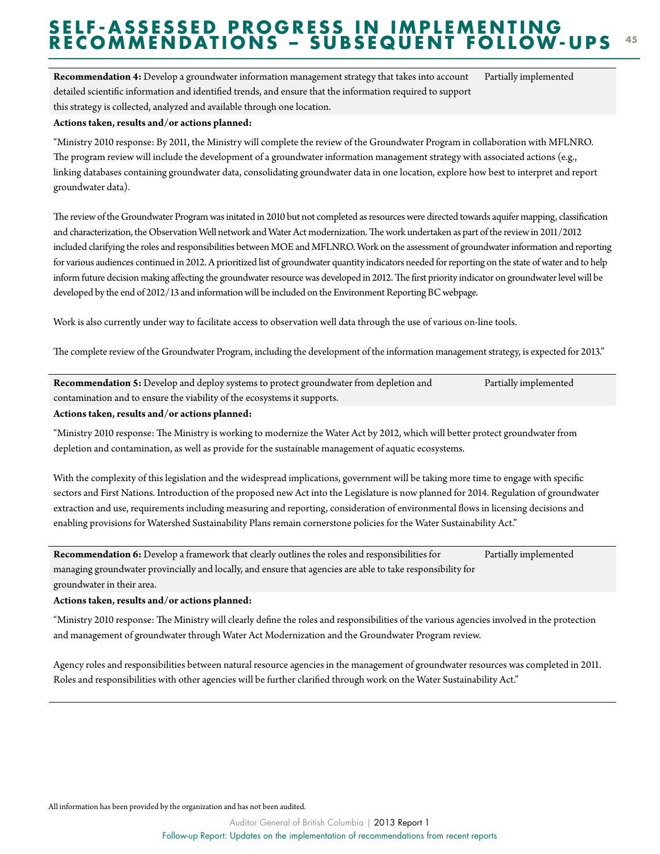**Recommendation 4:** Develop a groundwater information management strategy that takes into account detailed scientific information and identified trends, and ensure that the information required to support this strategy is collected, analyzed and available through one location. Partially implemented

### **Actions taken, results and/or actions planned:**

"Ministry 2010 response: By 2011, the Ministry will complete the review of the Groundwater Program in collaboration with MFLNRO. The program review will include the development of a groundwater information management strategy with associated actions (e.g., linking databases containing groundwater data, consolidating groundwater data in one location, explore how best to interpret and report groundwater data).

The review of the Groundwater Program was initated in 2010 but not completed as resources were directed towards aquifer mapping, classification and characterization, the Observation Well network and Water Act modernization. The work undertaken as part of the review in 2011/2012 included clarifying the roles and responsibilities between MOE and MFLNRO. Work on the assessment of groundwater information and reporting for various audiences continued in 2012. A prioritized list of groundwater quantity indicators needed for reporting on the state of water and to help inform future decision making affecting the groundwater resource was developed in 2012. The first priority indicator on groundwater level will be developed by the end of 2012/13 and information will be included on the Environment Reporting BC webpage.

Work is also currently under way to facilitate access to observation well data through the use of various on-line tools.

The complete review of the Groundwater Program, including the development of the information management strategy, is expected for 2013."

**Recommendation 5:** Develop and deploy systems to protect groundwater from depletion and contamination and to ensure the viability of the ecosystems it supports. Partially implemented

### **Actions taken, results and/or actions planned:**

"Ministry 2010 response: The Ministry is working to modernize the Water Act by 2012, which will better protect groundwater from depletion and contamination, as well as provide for the sustainable management of aquatic ecosystems.

With the complexity of this legislation and the widespread implications, government will be taking more time to engage with specific sectors and First Nations. Introduction of the proposed new Act into the Legislature is now planned for 2014. Regulation of groundwater extraction and use, requirements including measuring and reporting, consideration of environmental flows in licensing decisions and enabling provisions for Watershed Sustainability Plans remain cornerstone policies for the Water Sustainability Act."

**Recommendation 6:** Develop a framework that clearly outlines the roles and responsibilities for managing groundwater provincially and locally, and ensure that agencies are able to take responsibility for groundwater in their area. Partially implemented

### **Actions taken, results and/or actions planned:**

"Ministry 2010 response: The Ministry will clearly define the roles and responsibilities of the various agencies involved in the protection and management of groundwater through Water Act Modernization and the Groundwater Program review.

Agency roles and responsibilities between natural resource agencies in the management of groundwater resources was completed in 2011. Roles and responsibilities with other agencies will be further clarified through work on the Water Sustainability Act."